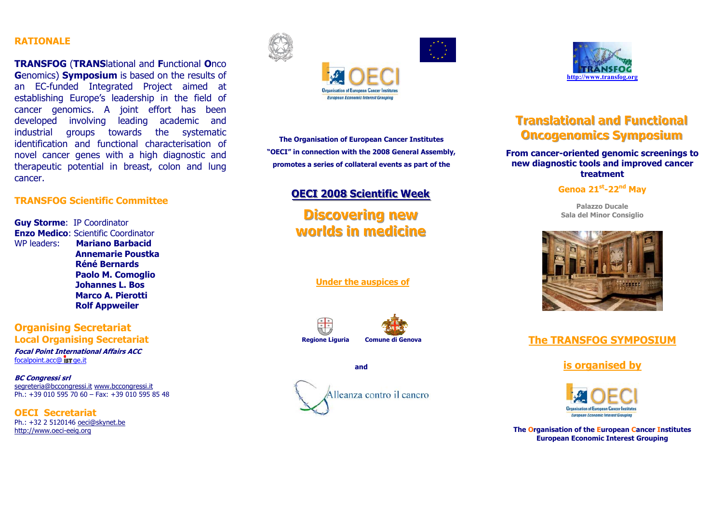### **RATIONALE**

**TRANSFOG** (**TRANS**lational and **F**unctional **O**nco **G**enomics) **Symposium** is based on the results of an EC-funded Integrated Project aimed at establishing Europe's leadership in the field of cancer genomics. A joint effort has been developed involving leading academic and industrial groups towards the systematic identification and functional characterisation of novel cancer genes with a high diagnostic and therapeutic potential in breast, colon and lung cancer.

### **TRANSFOG Scientific Committee**

**Guy Storme**: IP Coordinator **Enzo Medico**: Scientific Coordinator WP leaders: **Mariano Barbacid Annemarie Poustka Réné Bernards Paolo M. Comoglio Johannes L. Bos Marco A. Pierotti Rolf Appweiler** 

**Organising Secretariat Local Organising Secretariat** 

**Focal Point International Affairs ACC**  focalpoint.acc@ **is T** ge.it

**BC Congressi srl**  segreteria@bccongressi.it www.bccongressi.it Ph.: +39 010 595 70 60 – Fax: +39 010 595 85 48

**OECI Secretariat** Ph.: +32 2 5120146 oeci@skynet.be http://www.oeci-eeig.org





**The Organisation of European Cancer Institutes "OECI" in connection with the 2008 General Assembly, promotes a series of collateral events as part of the** 

# **OECI 2008 Scientific Week**

**Discovering new worlds in medicine** 

 **Under the auspices of**



**and** 





# **Translational and Functional Oncogenomics Symposium**

### **From cancer-oriented genomic screenings to new diagnostic tools and improved cancer treatment**

### **Genoa 21st-22nd May**

**Palazzo Ducale Sala del Minor Consiglio** 



# **The TRANSFOG SYMPOSIUM**

**is organised by**



**The Organisation of the European Cancer Institutes European Economic Interest Grouping**